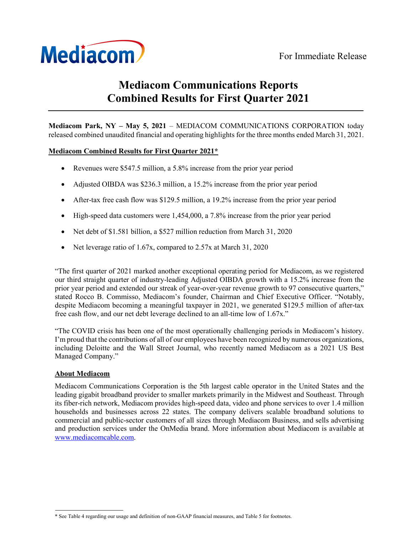

# Mediacom Communications Reports Combined Results for First Quarter 2021

Mediacom Park, NY – May 5, 2021 – MEDIACOM COMMUNICATIONS CORPORATION today released combined unaudited financial and operating highlights for the three months ended March 31, 2021.

# Mediacom Combined Results for First Quarter 2021\*

- Revenues were \$547.5 million, a 5.8% increase from the prior year period
- Adjusted OIBDA was \$236.3 million, a 15.2% increase from the prior year period
- After-tax free cash flow was \$129.5 million, a 19.2% increase from the prior year period
- High-speed data customers were 1,454,000, a 7.8% increase from the prior year period
- Net debt of \$1.581 billion, a \$527 million reduction from March 31, 2020
- Net leverage ratio of 1.67x, compared to 2.57x at March 31, 2020

"The first quarter of 2021 marked another exceptional operating period for Mediacom, as we registered our third straight quarter of industry-leading Adjusted OIBDA growth with a 15.2% increase from the prior year period and extended our streak of year-over-year revenue growth to 97 consecutive quarters," stated Rocco B. Commisso, Mediacom's founder, Chairman and Chief Executive Officer. "Notably, despite Mediacom becoming a meaningful taxpayer in 2021, we generated \$129.5 million of after-tax free cash flow, and our net debt leverage declined to an all-time low of 1.67x."

"The COVID crisis has been one of the most operationally challenging periods in Mediacom's history. I'm proud that the contributions of all of our employees have been recognized by numerous organizations, including Deloitte and the Wall Street Journal, who recently named Mediacom as a 2021 US Best Managed Company."

## About Mediacom

Mediacom Communications Corporation is the 5th largest cable operator in the United States and the leading gigabit broadband provider to smaller markets primarily in the Midwest and Southeast. Through its fiber-rich network, Mediacom provides high-speed data, video and phone services to over 1.4 million households and businesses across 22 states. The company delivers scalable broadband solutions to commercial and public-sector customers of all sizes through Mediacom Business, and sells advertising and production services under the OnMedia brand. More information about Mediacom is available at www.mediacomcable.com.

<sup>\*</sup> See Table 4 regarding our usage and definition of non-GAAP financial measures, and Table 5 for footnotes.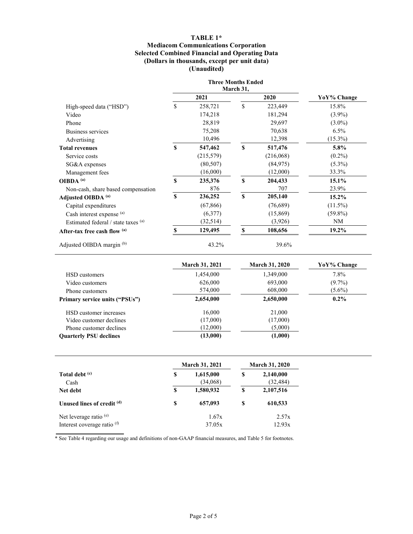## TABLE 1\*

#### Mediacom Communications Corporation Selected Combined Financial and Operating Data (Dollars in thousands, except per unit data) (Unaudited)

|                                     |    | <b>Three Months Ended</b> |    |           |             |
|-------------------------------------|----|---------------------------|----|-----------|-------------|
|                                     |    | March 31,                 |    |           |             |
|                                     |    | 2021                      |    | 2020      | YoY% Change |
| High-speed data ("HSD")             | \$ | 258,721                   | \$ | 223,449   | 15.8%       |
| Video                               |    | 174,218                   |    | 181,294   | $(3.9\%)$   |
| Phone                               |    | 28,819                    |    | 29,697    | $(3.0\%)$   |
| Business services                   |    | 75,208                    |    | 70,638    | 6.5%        |
| Advertising                         |    | 10,496                    |    | 12,398    | $(15.3\%)$  |
| <b>Total revenues</b>               | S  | 547,462                   | S  | 517,476   | 5.8%        |
| Service costs                       |    | (215,579)                 |    | (216,068) | $(0.2\%)$   |
| SG&A expenses                       |    | (80, 507)                 |    | (84, 975) | $(5.3\%)$   |
| Management fees                     |    | (16,000)                  |    | (12,000)  | 33.3%       |
| OIBDA <sup>(a)</sup>                | S  | 235,376                   | \$ | 204,433   | 15.1%       |
| Non-cash, share based compensation  |    | 876                       |    | 707       | 23.9%       |
| Adjusted OIBDA <sup>(a)</sup>       | S  | 236,252                   | S  | 205,140   | $15.2\%$    |
| Capital expenditures                |    | (67, 866)                 |    | (76,689)  | $(11.5\%)$  |
| Cash interest expense (a)           |    | (6,377)                   |    | (15,869)  | $(59.8\%)$  |
| Estimated federal / state taxes (a) |    | (32,514)                  |    | (3,926)   | NM          |
| After-tax free cash flow (a)        | \$ | 129,495                   | \$ | 108,656   | $19.2\%$    |
| Adjusted OIBDA margin (b)           |    | 43.2%                     |    | 39.6%     |             |

|                                       | <b>March 31, 2021</b> | <b>March 31, 2020</b> | YoY% Change |
|---------------------------------------|-----------------------|-----------------------|-------------|
| HSD customers                         | 1,454,000             | 1,349,000             | $7.8\%$     |
| Video customers                       | 626,000               | 693,000               | $(9.7\%)$   |
| Phone customers                       | 574,000               | 608,000               | $(5.6\%)$   |
| <b>Primary service units ("PSUs")</b> | 2,654,000             | 2,650,000             | $0.2\%$     |
| HSD customer increases                | 16,000                | 21,000                |             |
| Video customer declines               | (17,000)              | (17,000)              |             |
| Phone customer declines               | (12,000)              | (5,000)               |             |
| <b>Quarterly PSU declines</b>         | (13,000)              | (1,000)               |             |

|                                                         |   | <b>March 31, 2021</b> | <b>March 31, 2020</b> |                        |  |  |
|---------------------------------------------------------|---|-----------------------|-----------------------|------------------------|--|--|
| Total debt <sup>(c)</sup><br>Cash                       | S | 1,615,000<br>(34,068) | \$                    | 2,140,000<br>(32, 484) |  |  |
| Net debt                                                | S | 1,580,932             | S                     | 2,107,516              |  |  |
| Unused lines of credit (d)                              | S | 657,093               | S                     | 610,533                |  |  |
| Net leverage ratio $(e)$<br>Interest coverage ratio (f) |   | 1.67x<br>37.05x       | 2.57x<br>12.93x       |                        |  |  |

\* See Table 4 regarding our usage and definitions of non-GAAP financial measures, and Table 5 for footnotes.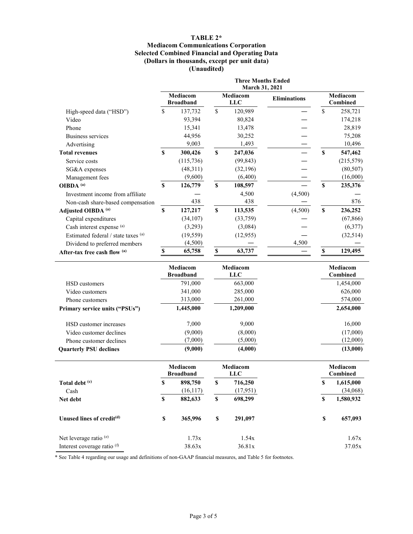## TABLE 2\*

#### Mediacom Communications Corporation Selected Combined Financial and Operating Data (Dollars in thousands, except per unit data) (Unaudited)

|                                        | <b>Three Months Ended</b><br>March 31, 2021 |                              |                           |                        |                     |                           |                             |
|----------------------------------------|---------------------------------------------|------------------------------|---------------------------|------------------------|---------------------|---------------------------|-----------------------------|
|                                        |                                             | Mediacom<br><b>Broadband</b> |                           | Mediacom<br><b>LLC</b> | <b>Eliminations</b> |                           | Mediacom<br>Combined        |
| High-speed data ("HSD")                | \$                                          | 137,732                      | \$                        | 120,989                |                     | \$                        | 258,721                     |
| Video                                  |                                             | 93,394                       |                           | 80,824                 |                     |                           | 174,218                     |
| Phone                                  |                                             | 15,341                       |                           | 13,478                 |                     |                           | 28,819                      |
| <b>Business services</b>               |                                             | 44,956                       |                           | 30,252                 |                     |                           | 75,208                      |
| Advertising                            |                                             | 9,003                        |                           | 1,493                  |                     |                           | 10,496                      |
| <b>Total revenues</b>                  | $\mathbf S$                                 | 300,426                      | \$                        | 247,036                |                     | $\boldsymbol{\mathsf{S}}$ | 547,462                     |
| Service costs                          |                                             | (115, 736)                   |                           | (99, 843)              |                     |                           | (215,579)                   |
| SG&A expenses                          |                                             | (48,311)                     |                           | (32,196)               |                     |                           | (80, 507)                   |
| Management fees                        |                                             | (9,600)                      |                           | (6,400)                |                     |                           | (16,000)                    |
| OIBDA <sup>(a)</sup>                   | $\mathbf S$                                 | 126,779                      | $\boldsymbol{\mathsf{s}}$ | 108,597                |                     | $\boldsymbol{\mathsf{S}}$ | 235,376                     |
| Investment income from affiliate       |                                             |                              |                           | 4,500                  | (4,500)             |                           |                             |
| Non-cash share-based compensation      |                                             | 438                          |                           | 438                    |                     |                           | 876                         |
| Adjusted OIBDA <sup>(a)</sup>          | $\mathbf S$                                 | 127,217                      | $\mathbf S$               | 113,535                | (4,500)             | $\mathbf S$               | 236,252                     |
| Capital expenditures                   |                                             | (34, 107)                    |                           | (33,759)               |                     |                           | (67, 866)                   |
| Cash interest expense (a)              |                                             | (3,293)                      |                           | (3,084)                |                     |                           | (6,377)                     |
| Estimated federal / state taxes (a)    |                                             | (19, 559)                    |                           | (12,955)               |                     |                           | (32,514)                    |
| Dividend to preferred members          |                                             | (4,500)                      |                           |                        | 4,500               |                           |                             |
| After-tax free cash flow (a)           | $\boldsymbol{\mathsf{S}}$                   | 65,758                       | $\boldsymbol{\mathsf{S}}$ | 63,737                 |                     | \$                        | 129,495                     |
|                                        |                                             |                              |                           |                        |                     |                           |                             |
|                                        |                                             | Mediacom<br><b>Broadband</b> |                           | Mediacom<br><b>LLC</b> |                     |                           | Mediacom<br>Combined        |
| HSD customers                          |                                             | 791,000                      |                           | 663,000                |                     |                           | 1,454,000                   |
| Video customers                        |                                             | 341,000                      |                           | 285,000                |                     |                           | 626,000                     |
| Phone customers                        |                                             | 313,000                      |                           | 261,000                |                     |                           | 574,000                     |
| Primary service units ("PSUs")         |                                             | 1,445,000                    |                           | 1,209,000              |                     |                           | 2,654,000                   |
| HSD customer increases                 |                                             | 7,000                        |                           | 9,000                  |                     |                           | 16,000                      |
| Video customer declines                |                                             | (9,000)                      |                           | (8,000)                |                     |                           | (17,000)                    |
| Phone customer declines                |                                             | (7,000)                      |                           | (5,000)                |                     |                           | (12,000)                    |
| <b>Quarterly PSU declines</b>          |                                             | (9,000)                      |                           | (4,000)                |                     |                           | (13,000)                    |
|                                        |                                             | Mediacom<br><b>Broadband</b> |                           | Mediacom<br><b>LLC</b> |                     |                           | Mediacom<br><b>Combined</b> |
| Total debt (c)                         | S                                           | 898,750                      | S                         | 716,250                |                     | \$                        | 1,615,000                   |
| Cash                                   |                                             | (16, 117)                    |                           | (17, 951)              |                     |                           | (34,068)                    |
| Net debt                               | $\mathbb S$                                 | 882,633                      | $\mathbb S$               | 698,299                |                     | \$                        | 1,580,932                   |
| Unused lines of credit <sup>(d)</sup>  | \$                                          | 365,996                      | $\mathbb S$               | 291,097                |                     | \$                        | 657,093                     |
| Net leverage ratio <sup>(e)</sup>      |                                             | 1.73x                        |                           | 1.54x                  |                     |                           | 1.67x                       |
| Interest coverage ratio <sup>(f)</sup> |                                             |                              |                           |                        |                     |                           |                             |

\* See Table 4 regarding our usage and definitions of non-GAAP financial measures, and Table 5 for footnotes.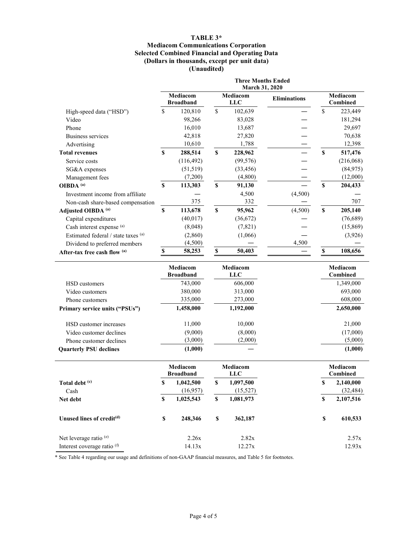## TABLE 3\*

#### Mediacom Communications Corporation Selected Combined Financial and Operating Data (Dollars in thousands, except per unit data) (Unaudited)

|                                       |                           | <b>Three Months Ended</b><br>March 31, 2020 |                           |                        |                     |                           |                      |
|---------------------------------------|---------------------------|---------------------------------------------|---------------------------|------------------------|---------------------|---------------------------|----------------------|
|                                       |                           | Mediacom<br><b>Broadband</b>                |                           | Mediacom<br><b>LLC</b> | <b>Eliminations</b> | Mediacom<br>Combined      |                      |
| High-speed data ("HSD")               | \$                        | 120,810                                     | $\mathsf{\$}$             | 102,639                |                     | \$                        | 223,449              |
| Video                                 |                           | 98,266                                      |                           | 83,028                 |                     |                           | 181,294              |
| Phone                                 |                           | 16,010                                      |                           | 13,687                 |                     |                           | 29,697               |
| <b>Business services</b>              |                           | 42,818                                      |                           | 27,820                 |                     |                           | 70,638               |
| Advertising                           |                           | 10,610                                      |                           | 1,788                  |                     |                           | 12,398               |
| <b>Total revenues</b>                 | S                         | 288,514                                     | $\boldsymbol{\mathsf{s}}$ | 228,962                |                     | $\boldsymbol{\mathsf{s}}$ | 517,476              |
| Service costs                         |                           | (116, 492)                                  |                           | (99, 576)              |                     |                           | (216,068)            |
| SG&A expenses                         |                           | (51, 519)                                   |                           | (33, 456)              |                     |                           | (84,975)             |
| Management fees                       |                           | (7,200)                                     |                           | (4,800)                |                     |                           | (12,000)             |
| OIBDA <sup>(a)</sup>                  | $\boldsymbol{\mathsf{s}}$ | 113,303                                     | $\boldsymbol{\mathsf{s}}$ | 91,130                 |                     | $\boldsymbol{\mathsf{S}}$ | 204,433              |
| Investment income from affiliate      |                           |                                             |                           | 4,500                  | (4,500)             |                           |                      |
| Non-cash share-based compensation     |                           | 375                                         |                           | 332                    |                     |                           | 707                  |
| Adjusted OIBDA <sup>(a)</sup>         | \$                        | 113,678                                     | $\mathbf S$               | 95,962                 | (4,500)             | $\mathbf S$               | 205,140              |
| Capital expenditures                  |                           | (40, 017)                                   |                           | (36,672)               |                     |                           | (76,689)             |
| Cash interest expense (a)             |                           | (8,048)                                     |                           | (7, 821)               |                     |                           | (15,869)             |
| Estimated federal / state taxes (a)   |                           | (2,860)                                     |                           | (1,066)                |                     |                           | (3,926)              |
| Dividend to preferred members         |                           | (4,500)                                     |                           |                        | 4,500               |                           |                      |
| After-tax free cash flow (a)          | \$                        | 58,253                                      | $\boldsymbol{\mathsf{S}}$ | 50,403                 |                     | \$                        | 108,656              |
|                                       |                           |                                             |                           |                        |                     |                           |                      |
|                                       |                           | Mediacom<br><b>Broadband</b>                |                           | Mediacom<br><b>LLC</b> |                     | Mediacom<br>Combined      |                      |
| HSD customers                         |                           | 743,000                                     |                           | 606,000                |                     |                           | 1,349,000            |
| Video customers                       |                           | 380,000                                     |                           | 313,000                |                     |                           | 693,000              |
| Phone customers                       |                           | 335,000                                     |                           | 273,000                |                     |                           | 608,000              |
| Primary service units ("PSUs")        |                           | 1,458,000                                   |                           | 1,192,000              |                     |                           | 2,650,000            |
| HSD customer increases                |                           | 11,000                                      |                           | 10,000                 |                     |                           | 21,000               |
| Video customer declines               |                           | (9,000)                                     |                           | (8,000)                |                     |                           | (17,000)             |
| Phone customer declines               |                           | (3,000)                                     |                           | (2,000)                |                     |                           | (5,000)              |
| <b>Quarterly PSU declines</b>         |                           | (1,000)                                     |                           |                        |                     |                           | (1,000)              |
|                                       |                           | Mediacom<br><b>Broadband</b>                |                           | Mediacom<br><b>LLC</b> |                     |                           | Mediacom<br>Combined |
| Total debt <sup>(c)</sup>             | S                         | 1,042,500                                   | S                         | 1,097,500              |                     | \$                        | 2,140,000            |
| Cash                                  |                           | (16,957)                                    |                           | (15,527)               |                     |                           | (32, 484)            |
| Net debt                              | \$                        | 1,025,543                                   | $\mathbb S$               | 1,081,973              |                     | \$                        | 2,107,516            |
| Unused lines of credit <sup>(d)</sup> | \$                        | 248,346                                     | $\mathbb S$               | 362,187                |                     | \$                        | 610,533              |
| Net leverage ratio <sup>(e)</sup>     |                           |                                             |                           |                        |                     |                           |                      |
|                                       |                           | 2.26x                                       |                           | 2.82x                  |                     |                           | 2.57x                |

\* See Table 4 regarding our usage and definitions of non-GAAP financial measures, and Table 5 for footnotes.